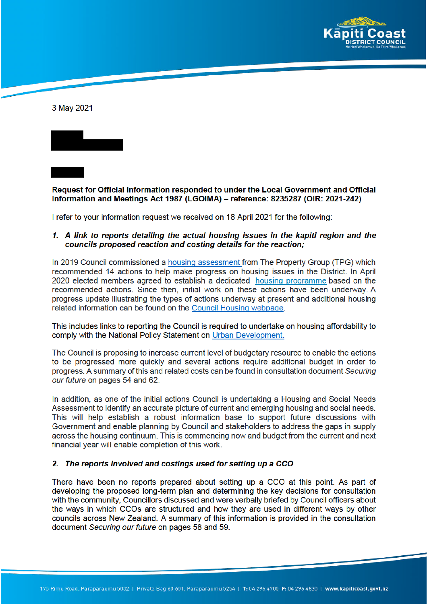

3 May 2021



I refer to your information request we received on 18 April 2021 for the following:

## 1. A link to reports detailing the actual housing issues in the kapiti region and the councils proposed reaction and costing details for the reaction;

In 2019 Council commissioned a housing assessment from The Property Group (TPG) which recommended 14 actions to help make progress on housing issues in the District. In April 2020 elected members agreed to establish a dedicated housing programme based on the recommended actions. Since then, initial work on these actions have been underway. A progress update illustrating the types of actions underway at present and additional housing related information can be found on the Council Housing webpage.

This includes links to reporting the Council is required to undertake on housing affordability to comply with the National Policy Statement on Urban Development.

The Council is proposing to increase current level of budgetary resource to enable the actions to be progressed more quickly and several actions require additional budget in order to progress. A summary of this and related costs can be found in consultation document Securing our future on pages 54 and 62.

In addition, as one of the initial actions Council is undertaking a Housing and Social Needs Assessment to identify an accurate picture of current and emerging housing and social needs. This will help establish a robust information base to support future discussions with Government and enable planning by Council and stakeholders to address the gaps in supply across the housing continuum. This is commencing now and budget from the current and next financial year will enable completion of this work.

## 2. The reports involved and costings used for setting up a CCO

There have been no reports prepared about setting up a CCO at this point. As part of developing the proposed long-term plan and determining the key decisions for consultation with the community, Councillors discussed and were verbally briefed by Council officers about the ways in which CCOs are structured and how they are used in different ways by other councils across New Zealand. A summary of this information is provided in the consultation document Securing our future on pages 58 and 59.